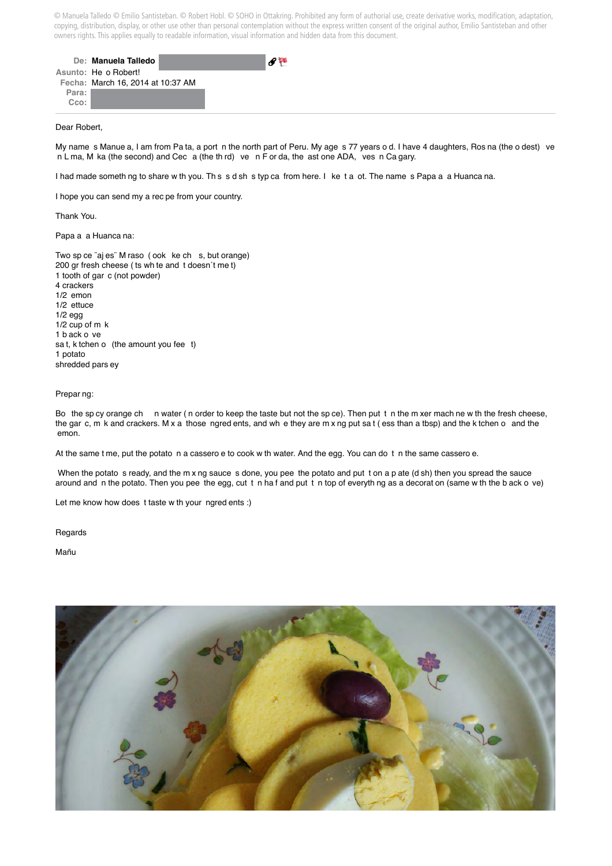© Manuela Talledo © Emilio Santisteban. © Robert Hobl. © SOHO in Ottakring. Prohibited any form of authorial use, create derivative works, modification, adaptation, copying, distribution, display, or other use other than personal contemplation without the express written consent of the original author, Emilio Santisteban and other owners rights. This applies equally to readable information, visual information and hidden data from this document.

|       | De: Manuela Talledo               |
|-------|-----------------------------------|
|       | Asunto: He o Robert!              |
|       | Fecha: March 16, 2014 at 10:37 AM |
| Para: |                                   |
| Cco:  |                                   |

## Dear Robert,

My name s Manue a, I am from Pa ta, a port n the north part of Peru. My age s 77 years o d. I have 4 daughters, Ros na (the o dest) ve n L ma, M ka (the second) and Cec a (the th rd) ve n F or da, the ast one ADA, ves n Ca gary.

I had made someth ng to share w th you. Th s s d sh s typ ca from here. I ke t a ot. The name s Papa a a Huanca na.

I hope you can send my a rec pe from your country.

Thank You.

Papa a a Huanca na:

Two sp ce ¨aj es¨ M raso ( ook ke ch s, but orange) 200 gr fresh cheese ( ts wh te and t doesn´t me t) 1 tooth of gar c (not powder) 4 crackers 1/2 emon 1/2 ettuce 1/2 egg 1/2 cup of m k 1 b ack o ve sa t, k tchen o (the amount you fee t) 1 potato shredded pars ey

## Prepar ng:

Bo the sp cy orange ch n water (n order to keep the taste but not the sp ce). Then put t n the m xer mach ne w th the fresh cheese. the gar c, m k and crackers. M x a those ngred ents, and wh e they are m x ng put sa t ( ess than a tbsp) and the k tchen o and the emon.

At the same t me, put the potato n a cassero e to cook w th water. And the egg. You can do t n the same cassero e.

When the potato s ready, and the m x ng sauce s done, you pee the potato and put t on a p ate (d sh) then you spread the sauce around and n the potato. Then you pee the egg, cut t n ha f and put t n top of everyth ng as a decorat on (same w th the b ack o ve)

Let me know how does t taste w th your ngred ents :)

Regards

Mañu